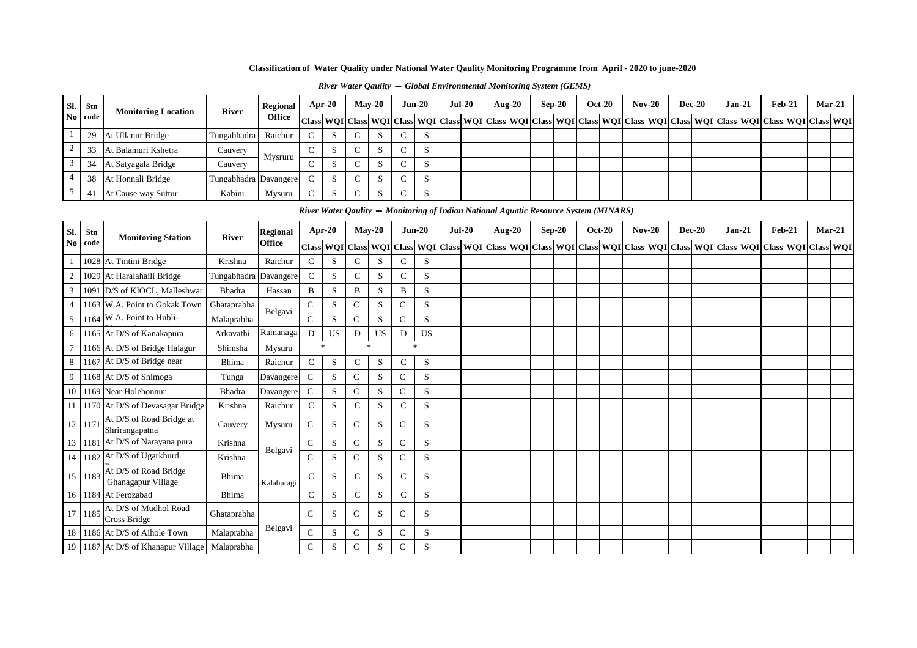### *River Water Qaulity* **—** *Global Environmental Monitoring System (GEMS)*

| Sl.            | Stn         | <b>Monitoring Location</b>                  | <b>River</b> | <b>Regional</b> | Apr-20                                                                               |               |               | $Mav-20$     |               | $Jun-20$         | $Jul-20$ |          | <b>Aug-20</b> | $Sep-20$ | <b>Oct-20</b> | $Nov-20$                                          |          | <b>Dec-20</b> | $Jan-21$                                                                                      | Feb-21        | $Mar-21$         |            |
|----------------|-------------|---------------------------------------------|--------------|-----------------|--------------------------------------------------------------------------------------|---------------|---------------|--------------|---------------|------------------|----------|----------|---------------|----------|---------------|---------------------------------------------------|----------|---------------|-----------------------------------------------------------------------------------------------|---------------|------------------|------------|
| No             | code        |                                             |              | <b>Office</b>   | <b>Class</b>                                                                         | WQI Class WQI |               |              | <b>Class</b>  | <b>WQI</b> Class |          |          |               |          |               | WQI Class WQI Class WQI Class WQI Class WQI Class |          |               | WQI Class WQI Class WQI Class                                                                 |               |                  | <b>WQI</b> |
| -1             | 29          | At Ullanur Bridge                           | Tungabhadra  | Raichur         | $\mathsf{C}$                                                                         | S             | $\mathsf{C}$  | S            | $\mathcal{C}$ | S                |          |          |               |          |               |                                                   |          |               |                                                                                               |               |                  |            |
| $\overline{2}$ | 33          | At Balamuri Kshetra                         | Cauvery      | Mysruru         | $\mathbf C$                                                                          | S             | $\mathbf C$   | S            | $\mathsf{C}$  | S                |          |          |               |          |               |                                                   |          |               |                                                                                               |               |                  |            |
| $\overline{3}$ | 34          | At Satyagala Bridge                         | Cauvery      |                 | $\mathsf{C}$                                                                         | S             | $\mathsf{C}$  | S            | $\mathbf C$   | S                |          |          |               |          |               |                                                   |          |               |                                                                                               |               |                  |            |
| $\overline{4}$ | 38          | At Honnali Bridge                           | Tungabhadra  | Davangere       | $\mathbf C$                                                                          | S             | $\mathbf C$   | S            | ${\bf C}$     | $\mathbf S$      |          |          |               |          |               |                                                   |          |               |                                                                                               |               |                  |            |
| 5              | 41          | At Cause way Suttur                         | Kabini       | Mysuru          | ${\bf C}$                                                                            | S             | $\mathbf C$   | S            | $\mathsf{C}$  | S                |          |          |               |          |               |                                                   |          |               |                                                                                               |               |                  |            |
|                |             |                                             |              |                 | River Water Qaulity — Monitoring of Indian National Aquatic Resource System (MINARS) |               |               |              |               |                  |          |          |               |          |               |                                                   |          |               |                                                                                               |               |                  |            |
| Sl.            |             |                                             |              | <b>Regional</b> | Apr-20                                                                               |               |               | $Mav-20$     |               | $Jun-20$         |          | $Jul-20$ | <b>Aug-20</b> | $Sep-20$ | <b>Oct-20</b> | $Nov-20$                                          | $Dec-20$ |               | $Jan-21$                                                                                      | <b>Feb-21</b> | Mar-21           |            |
| N <sub>0</sub> | Stn<br>code | <b>Monitoring Station</b>                   | <b>River</b> | <b>Office</b>   | Class WQI Class WQI                                                                  |               |               |              | <b>Class</b>  |                  |          |          |               |          |               |                                                   |          |               | WOI Class WOI Class WOI Class WOI Class WOI Class WOI Class WOI Class WOI Class WOI Class WOI |               | <b>Class WOI</b> |            |
|                |             | 1028 At Tintini Bridge                      | Krishna      | Raichur         | $\mathsf{C}$                                                                         | S             | $\mathbf C$   | S            | $\mathbf C$   | S                |          |          |               |          |               |                                                   |          |               |                                                                                               |               |                  |            |
| $\overline{2}$ |             | 1029 At Haralahalli Bridge                  | Tungabhadra  | Davangere       | $\mathbf C$                                                                          | S             | $\mathbf C$   | S            | $\mathbf C$   | $\mathbf S$      |          |          |               |          |               |                                                   |          |               |                                                                                               |               |                  |            |
| $\overline{3}$ |             | 1091 D/S of KIOCL, Malleshwar               | Bhadra       | Hassan          | B                                                                                    | S             | B             | S            | B             | S                |          |          |               |          |               |                                                   |          |               |                                                                                               |               |                  |            |
| $\overline{4}$ |             | 1163 W.A. Point to Gokak Town               | Ghataprabha  |                 | ${\bf C}$                                                                            | S             | $\mathsf{C}$  | S            | $\mathbf C$   | $\mathbf S$      |          |          |               |          |               |                                                   |          |               |                                                                                               |               |                  |            |
| 5              |             | 1164 W.A. Point to Hubli-                   | Malaprabha   | Belgavi         | $\mathbf C$                                                                          | S             | $\mathsf{C}$  | S            | $\mathsf{C}$  | S                |          |          |               |          |               |                                                   |          |               |                                                                                               |               |                  |            |
| 6              |             | 1165 At D/S of Kanakapura                   | Arkavathi    | Ramanaga        | $\mathbf D$                                                                          | <b>US</b>     | D             | US           | D             | US               |          |          |               |          |               |                                                   |          |               |                                                                                               |               |                  |            |
|                |             | 1166 At D/S of Bridge Halagur               | Shimsha      | Mysuru          | $\ast$                                                                               |               |               | $\mathbf{k}$ |               | $\mathcal{R}$    |          |          |               |          |               |                                                   |          |               |                                                                                               |               |                  |            |
| $\,8\,$        |             | 1167 At D/S of Bridge near                  | Bhima        | Raichur         | $\mathbf C$                                                                          | S             | $\mathbf C$   | ${\bf S}$    | $\mathbf C$   | S                |          |          |               |          |               |                                                   |          |               |                                                                                               |               |                  |            |
| 9              |             | 1168 At D/S of Shimoga                      | Tunga        | Davangere       | $\mathsf{C}$                                                                         | S             | $\mathsf{C}$  | S            | $\mathsf{C}$  | S                |          |          |               |          |               |                                                   |          |               |                                                                                               |               |                  |            |
| 10             |             | 1169 Near Holehonnur                        | Bhadra       | Davangere       | $\mathbf C$                                                                          | S             | $\mathsf{C}$  | S            | $\mathsf{C}$  | S                |          |          |               |          |               |                                                   |          |               |                                                                                               |               |                  |            |
| 11             |             | 1170 At D/S of Devasagar Bridge             | Krishna      | Raichur         | $\mathbf C$                                                                          | S             | $\mathbf C$   | S            | $\mathbf C$   | S                |          |          |               |          |               |                                                   |          |               |                                                                                               |               |                  |            |
|                | 12 117      | At D/S of Road Bridge at<br>Shrirangapatna  | Cauvery      | Mysuru          | $\mathbf C$                                                                          | S             | $\mathsf{C}$  | S            | $\mathsf{C}$  | S                |          |          |               |          |               |                                                   |          |               |                                                                                               |               |                  |            |
|                |             | 13 1181 At D/S of Narayana pura             | Krishna      | Belgavi         | ${\bf C}$                                                                            | S             | $\mathsf{C}$  | S            | $\mathbf C$   | S                |          |          |               |          |               |                                                   |          |               |                                                                                               |               |                  |            |
| 14             |             | 1182 At D/S of Ugarkhurd                    | Krishna      |                 | ${\bf C}$                                                                            | S             | $\mathsf{C}$  | S            | $\mathsf{C}$  | S                |          |          |               |          |               |                                                   |          |               |                                                                                               |               |                  |            |
| 15             | 1183        | At D/S of Road Bridge<br>Ghanagapur Village | Bhima        | Kalaburagi      | $\mathsf{C}$                                                                         | S             | $\mathsf{C}$  | S            | $\mathsf{C}$  | S                |          |          |               |          |               |                                                   |          |               |                                                                                               |               |                  |            |
|                |             | 16   1184   At Ferozabad                    | Bhima        |                 | $\mathsf{C}$                                                                         | S             | $\mathcal{C}$ | S            | $\mathsf{C}$  | S                |          |          |               |          |               |                                                   |          |               |                                                                                               |               |                  |            |
|                | 17 1185     | At D/S of Mudhol Road<br>Cross Bridge       | Ghataprabha  |                 | $\mathcal{C}$                                                                        | S             | $\mathsf{C}$  | S            | $\mathsf{C}$  | S                |          |          |               |          |               |                                                   |          |               |                                                                                               |               |                  |            |
| 18             |             | 1186 At D/S of Aihole Town                  | Malaprabha   | Belgavi         | $\mathbf C$                                                                          | S             | $\mathsf{C}$  | S            | $\mathsf{C}$  | S                |          |          |               |          |               |                                                   |          |               |                                                                                               |               |                  |            |
|                |             | 19 1187 At D/S of Khanapur Village          | Malaprabha   |                 | $\mathsf{C}$                                                                         | S             | $\mathsf{C}$  | S            | $\mathsf{C}$  | S                |          |          |               |          |               |                                                   |          |               |                                                                                               |               |                  |            |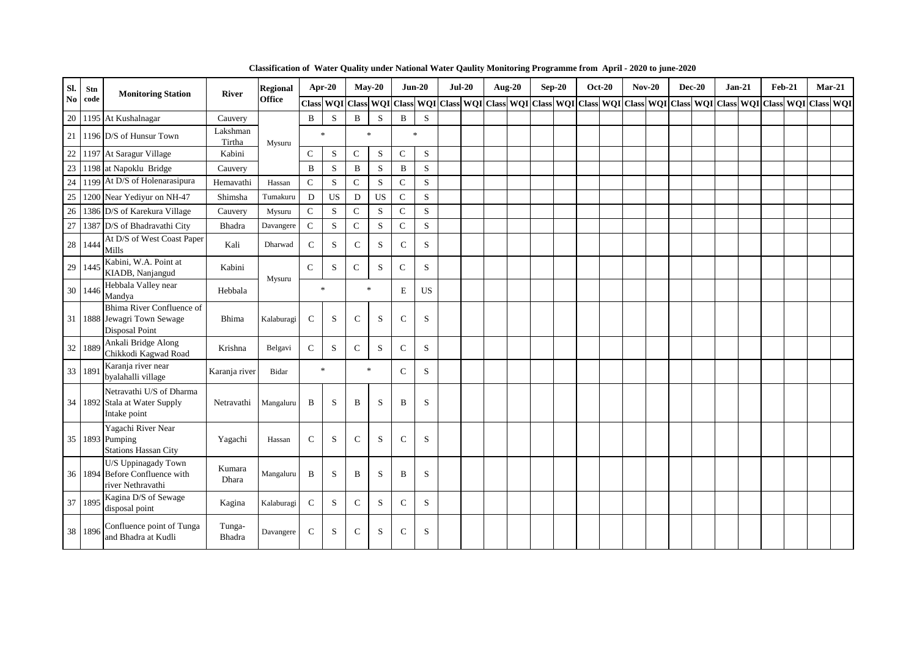| Sl.                    | Stn  | <b>Monitoring Station</b>                                                 | <b>River</b>       | <b>Regional</b> | Apr-20        |             |               | $May-20$  | $Jun-20$                  |           | $Jul-20$ | <b>Aug-20</b> | $Sep-20$ | <b>Oct-20</b> | $Nov-20$ | <b>Dec-20</b> | $Jan-21$                                                                                                | $Feb-21$ | $Mar-21$ |  |
|------------------------|------|---------------------------------------------------------------------------|--------------------|-----------------|---------------|-------------|---------------|-----------|---------------------------|-----------|----------|---------------|----------|---------------|----------|---------------|---------------------------------------------------------------------------------------------------------|----------|----------|--|
| $\mathbf{N}\mathbf{0}$ | code |                                                                           |                    | <b>Office</b>   |               |             |               |           | Class WQI Class WQI Class |           |          |               |          |               |          |               | WQI Class WQI Class WQI Class WQI Class WQI Class WQI Class WQI Class WQI Class WQI Class WQI Class WQI |          |          |  |
| 20                     |      | 1195 At Kushalnagar                                                       | Cauvery            |                 | B             | S           | B             | S         | $\, {\bf B}$              | S         |          |               |          |               |          |               |                                                                                                         |          |          |  |
| 21                     |      | 1196 D/S of Hunsur Town                                                   | Lakshman<br>Tirtha | Mysuru          | $\ast$        |             |               | $\ast$    | $\frac{1}{20}$            |           |          |               |          |               |          |               |                                                                                                         |          |          |  |
| $22\,$                 |      | 1197 At Saragur Village                                                   | Kabini             |                 | $\mathsf{C}$  | S           | $\mathsf{C}$  | S         | $\mathbf C$               | S         |          |               |          |               |          |               |                                                                                                         |          |          |  |
| $23\,$                 |      | 1198 at Napoklu Bridge                                                    | Cauvery            |                 | B             | S           | B             | S         | $\bf{B}$                  | S         |          |               |          |               |          |               |                                                                                                         |          |          |  |
| $24\,$                 |      | 1199 At D/S of Holenarasipura                                             | Hemavathi          | Hassan          | $\mathsf{C}$  | $\mathbf S$ | $\mathbf C$   | ${\bf S}$ | ${\bf C}$                 | S         |          |               |          |               |          |               |                                                                                                         |          |          |  |
| $25\,$                 |      | 1200 Near Yediyur on NH-47                                                | Shimsha            | Tumakuru        | ${\bf D}$     | <b>US</b>   | D             | <b>US</b> | ${\bf C}$                 | S         |          |               |          |               |          |               |                                                                                                         |          |          |  |
| $26\,$                 |      | 1386 D/S of Karekura Village                                              | Cauvery            | Mysuru          | $\mathbf C$   | S           | $\mathsf{C}$  | S         | $\mathsf{C}$              | S         |          |               |          |               |          |               |                                                                                                         |          |          |  |
| 27                     |      | 1387 D/S of Bhadravathi City                                              | Bhadra             | Davangere       | $\mathbf C$   | S           | $\mathsf{C}$  | S         | $\mathbf C$               | S         |          |               |          |               |          |               |                                                                                                         |          |          |  |
| $28\,$                 | 1444 | At D/S of West Coast Paper<br>Mills                                       | Kali               | Dharwad         | $\mathsf{C}$  | S           | $\mathbf C$   | S         | $\mathbf C$               | S         |          |               |          |               |          |               |                                                                                                         |          |          |  |
| 29                     | 1445 | Kabini, W.A. Point at<br>KIADB, Nanjangud                                 | Kabini             |                 | $\mathsf{C}$  | S           | $\mathsf{C}$  | S         | $\mathbf C$               | S         |          |               |          |               |          |               |                                                                                                         |          |          |  |
| 30                     | 1446 | Hebbala Valley near<br>Mandya                                             | Hebbala            | Mysuru          | $\ast$        |             |               | $\ast$    | E                         | US        |          |               |          |               |          |               |                                                                                                         |          |          |  |
| 31                     |      | Bhima River Confluence of<br>1888 Jewagri Town Sewage<br>Disposal Point   | <b>Bhima</b>       | Kalaburagi      | $\mathcal{C}$ | S           | $\mathcal{C}$ | S         | $\mathsf{C}$              | S         |          |               |          |               |          |               |                                                                                                         |          |          |  |
| $32\,$                 | 1889 | Ankali Bridge Along<br>Chikkodi Kagwad Road                               | Krishna            | Belgavi         | $\mathbf C$   | S           | $\mathsf{C}$  | S         | $\mathsf{C}$              | S         |          |               |          |               |          |               |                                                                                                         |          |          |  |
| 33                     | 189  | Karanja river near<br>byalahalli village                                  | Karanja river      | Bidar           | $\ast$        |             |               | $\ast$    | $\mathsf{C}$              | S         |          |               |          |               |          |               |                                                                                                         |          |          |  |
|                        |      | Netravathi U/S of Dharma<br>34 1892 Stala at Water Supply<br>Intake point | Netravathi         | Mangaluru       | $\bf{B}$      | S           | B             | S         | $\bf{B}$                  | S         |          |               |          |               |          |               |                                                                                                         |          |          |  |
|                        |      | Yagachi River Near<br>35 1893 Pumping<br><b>Stations Hassan City</b>      | Yagachi            | Hassan          | $\mathbf C$   | S           | $\mathbf C$   | S         | $\mathsf{C}$              | S         |          |               |          |               |          |               |                                                                                                         |          |          |  |
| 36                     |      | U/S Uppinagady Town<br>1894 Before Confluence with<br>river Nethravathi   | Kumara<br>Dhara    | Mangaluru       | $\, {\bf B}$  | S           | B             | S         | $\, {\bf B}$              | S         |          |               |          |               |          |               |                                                                                                         |          |          |  |
| 37                     | 1895 | Kagina D/S of Sewage<br>disposal point                                    | Kagina             | Kalaburagi      | $\mathsf{C}$  | S           | $\mathcal{C}$ | S         | $\mathbf C$               | S         |          |               |          |               |          |               |                                                                                                         |          |          |  |
| 38                     | 1896 | Confluence point of Tunga<br>and Bhadra at Kudli                          | Tunga-<br>Bhadra   | Davangere       | $\mathsf{C}$  | S           | $\mathsf{C}$  | S         | $\mathbf C$               | ${\bf S}$ |          |               |          |               |          |               |                                                                                                         |          |          |  |

**Classification of Water Quality under National Water Qaulity Monitoring Programme from April - 2020 to june-2020**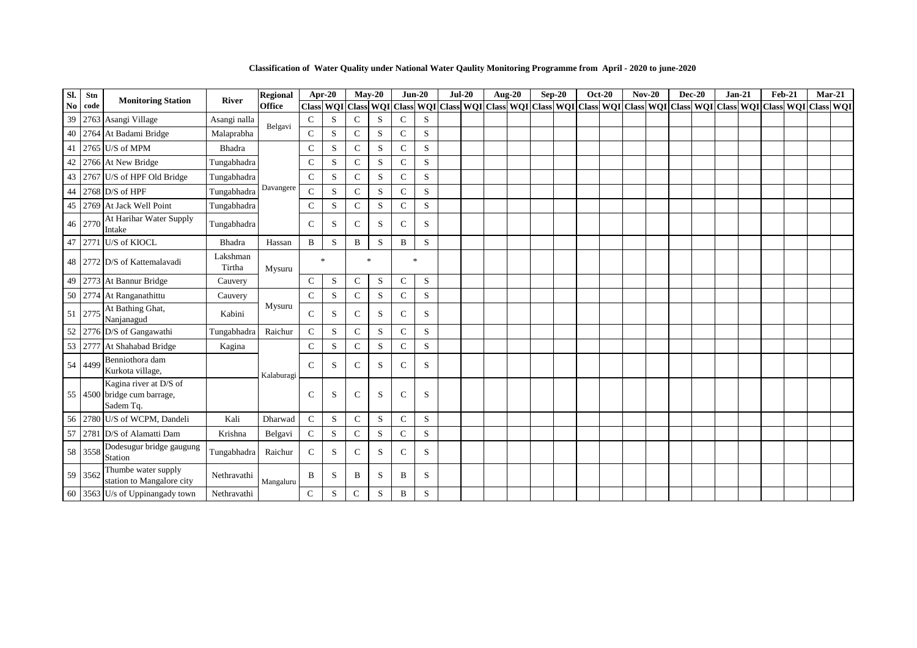**Classification of Water Quality under National Water Qaulity Monitoring Programme from April - 2020 to june-2020**

| SI.            | Stn     | <b>Monitoring Station</b>                                          | <b>River</b>       | <b>Regional</b> | Apr-20        |                      |               | $Mav-20$     |               | $Jun-20$    | $Jul-20$ | Aug-20 | $Sep-20$ | <b>Oct-20</b> | $Nov-20$ | <b>Dec-20</b> | $Jan-21$                                                                                                                          | <b>Feb-21</b> | $Mar-21$ |  |
|----------------|---------|--------------------------------------------------------------------|--------------------|-----------------|---------------|----------------------|---------------|--------------|---------------|-------------|----------|--------|----------|---------------|----------|---------------|-----------------------------------------------------------------------------------------------------------------------------------|---------------|----------|--|
| N <sub>0</sub> | code    |                                                                    |                    | <b>Office</b>   | <b>Class</b>  | <b>WQI</b> Class WQI |               |              | <b>Class</b>  |             |          |        |          |               |          |               | WQI   Class   WQI   Class   WQI   Class   WQI   Class   WQI   Class   WQI   Class   WQI   Class   WQI   Class   WQI   Class   WQI |               |          |  |
| 39             |         | 2763 Asangi Village                                                | Asangi nalla       | Belgavi         | $\mathbf C$   | S                    | $\mathcal{C}$ | S            | $\mathsf{C}$  | S           |          |        |          |               |          |               |                                                                                                                                   |               |          |  |
| 40             |         | 2764 At Badami Bridge                                              | Malaprabha         |                 | $\mathbf C$   | S                    | $\mathcal{C}$ | S            | $\mathsf{C}$  | S           |          |        |          |               |          |               |                                                                                                                                   |               |          |  |
| 41             |         | 2765 U/S of MPM                                                    | Bhadra             |                 | $\mathsf{C}$  | S                    | $\mathbf C$   | S            | ${\bf C}$     | $\mathbf S$ |          |        |          |               |          |               |                                                                                                                                   |               |          |  |
| 42             |         | 2766 At New Bridge                                                 | Tungabhadra        |                 | $\mathsf{C}$  | S                    | $\mathsf{C}$  | S            | $\mathsf{C}$  | S           |          |        |          |               |          |               |                                                                                                                                   |               |          |  |
| 43             |         | 2767 U/S of HPF Old Bridge                                         | Tungabhadra        |                 | $\mathbf C$   | S                    | $\mathsf{C}$  | S            | $\mathsf{C}$  | S           |          |        |          |               |          |               |                                                                                                                                   |               |          |  |
| 44             |         | 2768 $D/S$ of HPF                                                  | Tungabhadra        | Davangere       | $\mathsf{C}$  | S                    | $\mathbf C$   | S            | $\mathbf C$   | S           |          |        |          |               |          |               |                                                                                                                                   |               |          |  |
| 45             |         | 2769 At Jack Well Point                                            | Tungabhadra        |                 | $\mathbf C$   | S                    | $\mathsf{C}$  | S            | $\mathsf{C}$  | S           |          |        |          |               |          |               |                                                                                                                                   |               |          |  |
|                | 46 2770 | At Harihar Water Supply<br>Intake                                  | Tungabhadra        |                 | $\mathcal{C}$ | S                    | $\mathcal{C}$ | S            | $\mathsf{C}$  | S           |          |        |          |               |          |               |                                                                                                                                   |               |          |  |
| 47             |         | 2771 U/S of KIOCL                                                  | Bhadra             | Hassan          | $\mathbf B$   | S                    | $\, {\bf B}$  | ${\bf S}$    | B             | $\mathbf S$ |          |        |          |               |          |               |                                                                                                                                   |               |          |  |
|                |         | 48 2772 D/S of Kattemalavadi                                       | Lakshman<br>Tirtha | Mysuru          | $\ast$        |                      |               | $\ast$       |               | $\ast$      |          |        |          |               |          |               |                                                                                                                                   |               |          |  |
| 49             |         | 2773 At Bannur Bridge                                              | Cauvery            |                 | ${\bf C}$     | S                    | $\mathsf{C}$  | ${\bf S}$    | $\mathsf{C}$  | $\,$ S      |          |        |          |               |          |               |                                                                                                                                   |               |          |  |
| 50             |         | 2774 At Ranganathittu                                              | Cauvery            |                 | $\mathsf{C}$  | S                    | $\mathsf{C}$  | S            | $\mathbf C$   | S           |          |        |          |               |          |               |                                                                                                                                   |               |          |  |
|                | 51 2775 | At Bathing Ghat,<br>Nanjanagud                                     | Kabini             | Mysuru          | $\mathcal{C}$ | S                    | $\mathcal{C}$ | S            | $\mathcal{C}$ | S           |          |        |          |               |          |               |                                                                                                                                   |               |          |  |
| 52             |         | 2776 D/S of Gangawathi                                             | Tungabhadra        | Raichur         | $\mathsf{C}$  | S                    | $\mathcal{C}$ | S            | $\mathsf{C}$  | S           |          |        |          |               |          |               |                                                                                                                                   |               |          |  |
| 53             |         | 2777 At Shahabad Bridge                                            | Kagina             |                 | $\mathsf{C}$  | S                    | $\mathbf C$   | S            | $\mathbf C$   | S           |          |        |          |               |          |               |                                                                                                                                   |               |          |  |
|                | 54 4499 | Benniothora dam<br>Kurkota village,                                |                    | Kalaburagi      | $\mathcal{C}$ | S                    | $\mathsf{C}$  | <sub>S</sub> | $\mathsf{C}$  | S           |          |        |          |               |          |               |                                                                                                                                   |               |          |  |
|                |         | Kagina river at D/S of<br>55 4500 bridge cum barrage,<br>Sadem Tq. |                    |                 | $\mathcal{C}$ | S                    | $\mathsf{C}$  | S            | $\mathsf{C}$  | S           |          |        |          |               |          |               |                                                                                                                                   |               |          |  |
| 56             |         | 2780 U/S of WCPM, Dandeli                                          | Kali               | Dharwad         | $\mathsf{C}$  | S                    | $\mathsf{C}$  | S            | $\mathsf{C}$  | S           |          |        |          |               |          |               |                                                                                                                                   |               |          |  |
| 57             |         | 2781 D/S of Alamatti Dam                                           | Krishna            | Belgavi         | $\mathbf C$   | $\mathbf S$          | $\mathcal{C}$ | S            | $\mathbf C$   | S           |          |        |          |               |          |               |                                                                                                                                   |               |          |  |
|                | 58 3558 | Dodesugur bridge gaugung<br>Station                                | Tungabhadra        | Raichur         | $\mathcal{C}$ | S                    | $\mathcal{C}$ | S            | $\mathsf{C}$  | S           |          |        |          |               |          |               |                                                                                                                                   |               |          |  |
|                | 59 3562 | Thumbe water supply<br>station to Mangalore city                   | Nethravathi        | Mangaluru       | B             | S                    | B             | S            | B             | S           |          |        |          |               |          |               |                                                                                                                                   |               |          |  |
|                |         | 60 3563 U/s of Uppinangady town                                    | Nethravathi        |                 | $\mathsf{C}$  | S                    | $\mathsf{C}$  | S            | B             | S           |          |        |          |               |          |               |                                                                                                                                   |               |          |  |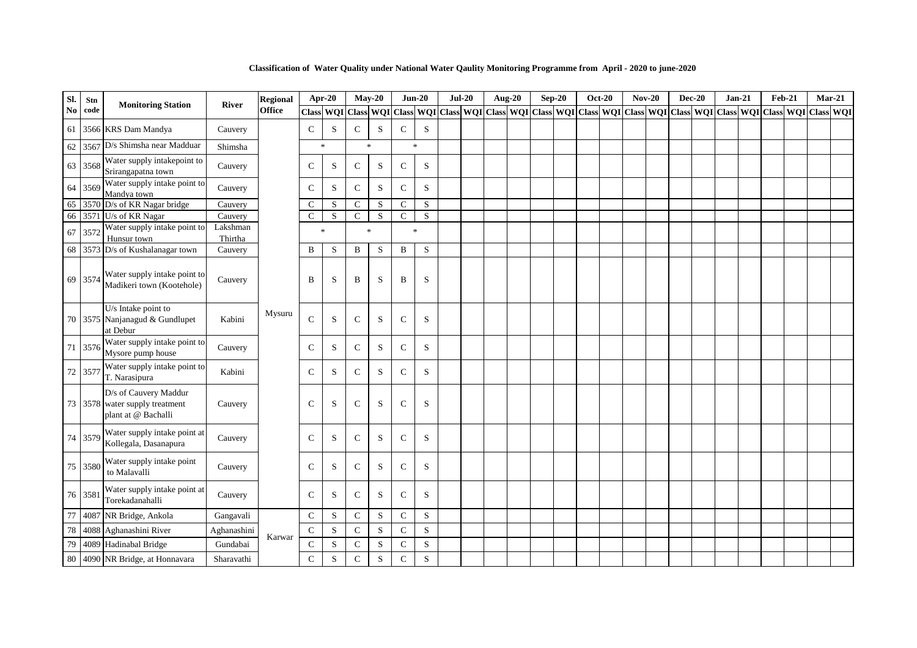| Sl. | Stn     |                                                                                |                     | <b>Regional</b> | Apr-20        |           | $May-20$            |           | $Jun-20$     |           | $Jul-20$ | <b>Aug-20</b> | $Sep-20$ | <b>Oct-20</b> |  | $Nov-20$ | <b>Dec-20</b> | $Jan-21$                                                                                                      | <b>Feb-21</b> |  | $Mar-21$ |
|-----|---------|--------------------------------------------------------------------------------|---------------------|-----------------|---------------|-----------|---------------------|-----------|--------------|-----------|----------|---------------|----------|---------------|--|----------|---------------|---------------------------------------------------------------------------------------------------------------|---------------|--|----------|
| No  | code    | <b>Monitoring Station</b>                                                      | <b>River</b>        | <b>Office</b>   |               |           | Class WQI Class WQI |           |              |           |          |               |          |               |  |          |               | Class WOI Class WOI Class WOI Class WOI Class WOI Class WOI Class WOI Class WOI Class WOI Class WOI Class WOI |               |  |          |
|     |         | 61 3566 KRS Dam Mandya                                                         | Cauvery             |                 | $\mathcal{C}$ | S         | $\mathbf C$         | S         | $\mathsf{C}$ | S         |          |               |          |               |  |          |               |                                                                                                               |               |  |          |
|     |         | 62 3567 D/s Shimsha near Madduar                                               | Shimsha             |                 | $\ast$        |           | $\ast$              |           | $\ast$       |           |          |               |          |               |  |          |               |                                                                                                               |               |  |          |
|     | 63 3568 | Water supply intakepoint to<br>Srirangapatna town                              | Cauvery             |                 | $\mathsf{C}$  | S         | $\mathbf{C}$        | S         | $\mathbf C$  | S         |          |               |          |               |  |          |               |                                                                                                               |               |  |          |
|     | 64 3569 | Water supply intake point to<br>Mandya town                                    | Cauvery             |                 | $\mathcal{C}$ | S         | $\mathcal{C}$       | S         | $\mathsf{C}$ | S         |          |               |          |               |  |          |               |                                                                                                               |               |  |          |
|     |         | 65 3570 D/s of KR Nagar bridge                                                 | Cauvery             |                 | $\mathsf{C}$  | S         | $\mathsf{C}$        | S         | $\mathbf C$  | ${\bf S}$ |          |               |          |               |  |          |               |                                                                                                               |               |  |          |
|     |         | 66 3571 U/s of KR Nagar                                                        | Cauvery             |                 | $\mathbf C$   | S         | $\mathbf C$         | ${\bf S}$ | $\mathbf C$  | ${\bf S}$ |          |               |          |               |  |          |               |                                                                                                               |               |  |          |
|     | 67 3572 | Water supply intake point to<br>Hunsur town                                    | Lakshman<br>Thirtha |                 | $\ast$        |           | $\ast$              |           | $\ast$       |           |          |               |          |               |  |          |               |                                                                                                               |               |  |          |
|     |         | 68 3573 D/s of Kushalanagar town                                               | Cauvery             |                 | B             | S         | $\, {\bf B}$        | ${\bf S}$ | $\, {\bf B}$ | ${\bf S}$ |          |               |          |               |  |          |               |                                                                                                               |               |  |          |
|     | 69 3574 | Water supply intake point to<br>Madikeri town (Kootehole)                      | Cauvery             |                 | B             | S         | B                   | S         | B            | S         |          |               |          |               |  |          |               |                                                                                                               |               |  |          |
|     |         | U/s Intake point to<br>70 3575 Nanjanagud & Gundlupet<br>at Debur              | Kabini              | Mysuru          | $\mathcal{C}$ | S         | $\mathsf{C}$        | S         | $\mathsf{C}$ | S         |          |               |          |               |  |          |               |                                                                                                               |               |  |          |
|     | 71 3576 | Water supply intake point to<br>Mysore pump house                              | Cauvery             |                 | $\mathcal{C}$ | S         | $\mathsf{C}$        | S         | $\mathsf{C}$ | S         |          |               |          |               |  |          |               |                                                                                                               |               |  |          |
|     | 72 3577 | Water supply intake point to<br>T. Narasipura                                  | Kabini              |                 | $\mathsf{C}$  | S         | $\mathbf C$         | S         | $\mathbf C$  | S         |          |               |          |               |  |          |               |                                                                                                               |               |  |          |
|     |         | D/s of Cauvery Maddur<br>73 3578 water supply treatment<br>plant at @ Bachalli | Cauvery             |                 | $\mathcal{C}$ | S         | $\mathcal{C}$       | S         | $\mathbf C$  | S         |          |               |          |               |  |          |               |                                                                                                               |               |  |          |
|     | 74 3579 | Water supply intake point at<br>Kollegala, Dasanapura                          | Cauvery             |                 | $\mathcal{C}$ | S         | $\mathsf{C}$        | S         | $\mathsf{C}$ | S         |          |               |          |               |  |          |               |                                                                                                               |               |  |          |
|     | 75 3580 | Water supply intake point<br>to Malavalli                                      | Cauvery             |                 | $\mathcal{C}$ | ${\bf S}$ | $\mathbf C$         | S         | $\mathbf C$  | S         |          |               |          |               |  |          |               |                                                                                                               |               |  |          |
|     | 76 3581 | Water supply intake point at<br>Torekadanahalli                                | Cauvery             |                 | $\mathcal{C}$ | S         | $\mathsf{C}$        | S         | $\mathsf{C}$ | S         |          |               |          |               |  |          |               |                                                                                                               |               |  |          |
| 77  |         | 4087 NR Bridge, Ankola                                                         | Gangavali           |                 | $\mathbf C$   | ${\bf S}$ | ${\bf C}$           | S         | $\mathbf C$  | ${\bf S}$ |          |               |          |               |  |          |               |                                                                                                               |               |  |          |
| 78  |         | 4088 Aghanashini River                                                         | Aghanashini         |                 | $\mathbf C$   | S         | $\mathsf{C}$        | S         | $\mathbf C$  | S         |          |               |          |               |  |          |               |                                                                                                               |               |  |          |
| 79  |         | 4089 Hadinabal Bridge                                                          | Gundabai            | Karwar          | $\mathbf C$   | S         | $\mathsf{C}$        | S         | ${\bf C}$    | S         |          |               |          |               |  |          |               |                                                                                                               |               |  |          |
| 80  |         | 4090 NR Bridge, at Honnavara                                                   | Sharavathi          |                 | $\mathsf{C}$  | S         | $\mathsf{C}$        | ${\bf S}$ | $\mathbf C$  | S         |          |               |          |               |  |          |               |                                                                                                               |               |  |          |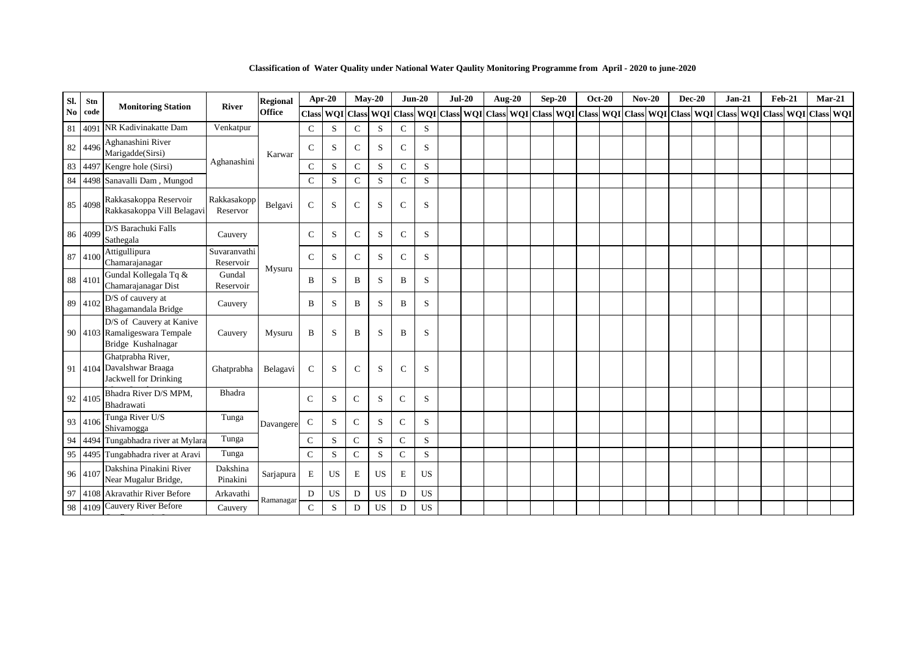| Sl.            | Stn     | <b>Monitoring Station</b>                                                       | <b>River</b>              | <b>Regional</b> | Apr-20                    |           | $Mav-20$      |           | $Jun-20$     |             | $Jul-20$ |  | Aug-20 | $Sep-20$ | <b>Oct-20</b> |  | $Nov-20$                                                                                                | $Dec-20$ | $Jan-21$ | <b>Feb-21</b> |  | $Mar-21$ |
|----------------|---------|---------------------------------------------------------------------------------|---------------------------|-----------------|---------------------------|-----------|---------------|-----------|--------------|-------------|----------|--|--------|----------|---------------|--|---------------------------------------------------------------------------------------------------------|----------|----------|---------------|--|----------|
| N <sub>0</sub> | code    |                                                                                 |                           | <b>Office</b>   | Class WQI Class WQI Class |           |               |           |              |             |          |  |        |          |               |  | WQI Class WQI Class WQI Class WQI Class WQI Class WQI Class WQI Class WQI Class WQI Class WQI Class WQI |          |          |               |  |          |
| 81             | 4091    | NR Kadivinakatte Dam                                                            | Venkatpur                 |                 | $\mathsf{C}$              | S         | $\mathsf{C}$  | S         | $\mathsf{C}$ | S           |          |  |        |          |               |  |                                                                                                         |          |          |               |  |          |
|                | 82 4496 | Aghanashini River<br>Marigadde(Sirsi)                                           |                           | Karwar          | $\mathbf C$               | S         | $\mathsf{C}$  | S         | $\mathsf{C}$ | S           |          |  |        |          |               |  |                                                                                                         |          |          |               |  |          |
| 83             |         | 4497 Kengre hole (Sirsi)                                                        | Aghanashini               |                 | $\mathsf{C}$              | S         | $\mathcal{C}$ | S         | $\mathbf C$  | S           |          |  |        |          |               |  |                                                                                                         |          |          |               |  |          |
| 84             |         | 4498 Sanavalli Dam, Mungod                                                      |                           |                 | $\mathbf C$               | S         | $\mathbf C$   | S         | $\mathbf C$  | S           |          |  |        |          |               |  |                                                                                                         |          |          |               |  |          |
| 85             | 4098    | Rakkasakoppa Reservoir<br>Rakkasakoppa Vill Belagavi                            | Rakkasakopp<br>Reservor   | Belgavi         | $\mathsf{C}$              | S         | $\mathsf{C}$  | S         | $\mathsf{C}$ | S           |          |  |        |          |               |  |                                                                                                         |          |          |               |  |          |
|                | 86 4099 | D/S Barachuki Falls<br>Sathegala                                                | Cauvery                   |                 | $\mathbf C$               | S         | $\mathcal{C}$ | S         | $\mathsf{C}$ | S           |          |  |        |          |               |  |                                                                                                         |          |          |               |  |          |
|                | 87 410  | Attigullipura<br>Chamarajanagar                                                 | Suvaranvathi<br>Reservoir | Mysuru          | $\mathbf C$               | S         | $\mathbf C$   | S         | $\mathsf{C}$ | S           |          |  |        |          |               |  |                                                                                                         |          |          |               |  |          |
|                | 88 4101 | Gundal Kollegala Tq &<br>Chamarajanagar Dist                                    | Gundal<br>Reservoir       |                 | B                         | S         | B             | S         | B            | S           |          |  |        |          |               |  |                                                                                                         |          |          |               |  |          |
|                | 89 4102 | D/S of cauvery at<br>Bhagamandala Bridge                                        | Cauvery                   |                 | B                         | S         | B             | S         | B            | S           |          |  |        |          |               |  |                                                                                                         |          |          |               |  |          |
|                |         | D/S of Cauvery at Kanive<br>90 4103 Ramaligeswara Tempale<br>Bridge Kushalnagar | Cauvery                   | Mysuru          | B                         | S         | B             | S         | B            | S           |          |  |        |          |               |  |                                                                                                         |          |          |               |  |          |
|                |         | Ghatprabha River,<br>91 4104 Davalshwar Braaga<br>Jackwell for Drinking         | Ghatprabha                | Belagavi        | $\mathsf{C}$              | S         | $\mathcal{C}$ | S         | $\mathsf{C}$ | S           |          |  |        |          |               |  |                                                                                                         |          |          |               |  |          |
|                | 92 4105 | Bhadra River D/S MPM,<br>Bhadrawati                                             | Bhadra                    |                 | $\mathcal{C}$             | ${\bf S}$ | $\mathbf C$   | S         | $\mathsf{C}$ | S           |          |  |        |          |               |  |                                                                                                         |          |          |               |  |          |
|                | 93 4106 | Tunga River U/S<br>Shivamogga                                                   | Tunga                     | Davangere       | $\mathsf{C}$              | S         | $\mathsf{C}$  | S         | $\mathsf{C}$ | S           |          |  |        |          |               |  |                                                                                                         |          |          |               |  |          |
| 94             | 4494    | Tungabhadra river at Mylara                                                     | Tunga                     |                 | $\mathsf{C}$              | S         | $\mathbf C$   | S         | $\mathsf{C}$ | S           |          |  |        |          |               |  |                                                                                                         |          |          |               |  |          |
| 95             |         | 4495 Tungabhadra river at Aravi                                                 | Tunga                     |                 | $\mathbf C$               | S         | $\mathsf{C}$  | S         | $\mathsf{C}$ | S           |          |  |        |          |               |  |                                                                                                         |          |          |               |  |          |
|                | 96 4107 | Dakshina Pinakini River<br>Near Mugalur Bridge,                                 | Dakshina<br>Pinakini      | Sarjapura       | $\mathbf E$               | <b>US</b> | E             | <b>US</b> | E            | <b>US</b>   |          |  |        |          |               |  |                                                                                                         |          |          |               |  |          |
| 97             |         | 4108 Akravathir River Before                                                    | Arkavathi                 | Ramanagar       | D                         | US        | D             | US        | D            | $_{\rm US}$ |          |  |        |          |               |  |                                                                                                         |          |          |               |  |          |
| 98             | 4109    | Cauvery River Before                                                            | Cauvery                   |                 | $\mathcal{C}$             | S         | D             | <b>US</b> | D            | <b>US</b>   |          |  |        |          |               |  |                                                                                                         |          |          |               |  |          |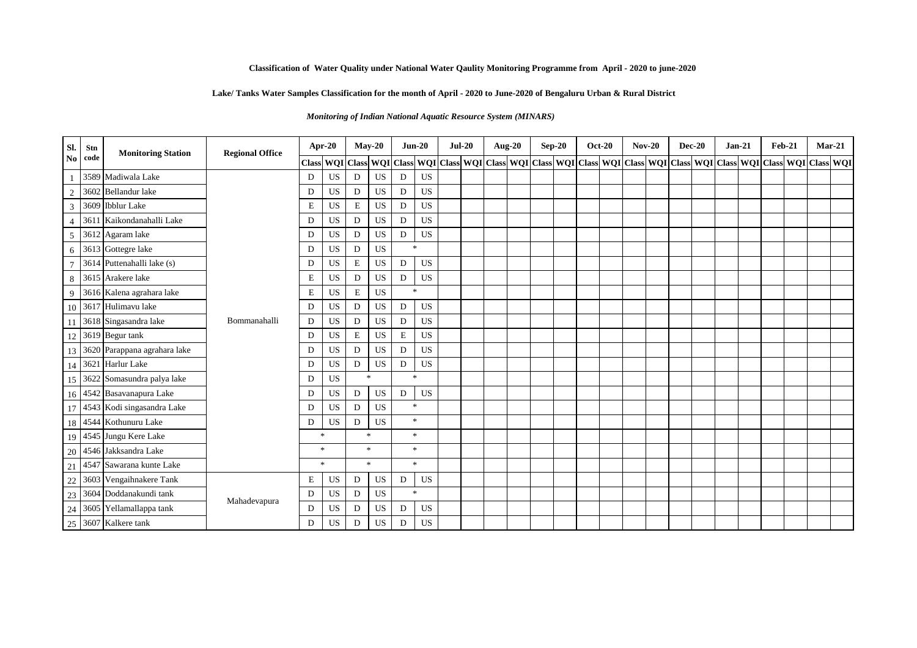# **Lake/ Tanks Water Samples Classification for the month of April - 2020 to June-2020 of Bengaluru Urban & Rural District**

*Monitoring of Indian National Aquatic Resource System (MINARS)* 

| Sl.            | Stn  | <b>Monitoring Station</b>       | <b>Regional Office</b> | Apr-20       |           |               | $May-20$                    |                | $Jun-20$                    | $Jul-20$ |  | Aug-20 | $Sep-20$ | <b>Oct-20</b> | $Nov-20$ | $Dec-20$ | $Jan-21$ | $Feb-21$                                                                                                                              | $Mar-21$ |  |
|----------------|------|---------------------------------|------------------------|--------------|-----------|---------------|-----------------------------|----------------|-----------------------------|----------|--|--------|----------|---------------|----------|----------|----------|---------------------------------------------------------------------------------------------------------------------------------------|----------|--|
| N <sub>o</sub> | code |                                 |                        | <b>Class</b> |           |               |                             |                |                             |          |  |        |          |               |          |          |          | WQI Class WQI Class WQI Class WQI Class WQI Class WQI Class WQI Class WQI Class WQI Class WQI Class WQI Class WQI Class WQI Class WQI |          |  |
|                |      | 3589 Madiwala Lake              |                        | D            | <b>US</b> | D             | <b>US</b>                   | D              | <b>US</b>                   |          |  |        |          |               |          |          |          |                                                                                                                                       |          |  |
| $\overline{2}$ |      | 3602 Bellandur lake             |                        | D            | <b>US</b> | D             | <b>US</b>                   | D              | <b>US</b>                   |          |  |        |          |               |          |          |          |                                                                                                                                       |          |  |
| $\overline{3}$ |      | 3609 Ibblur Lake                |                        | $\mathbf E$  | US        | E             | $_{\rm US}$                 | D              | US                          |          |  |        |          |               |          |          |          |                                                                                                                                       |          |  |
| $\overline{4}$ | 3611 | Kaikondanahalli Lake            |                        | D            | <b>US</b> | D             | <b>US</b>                   | D              | <b>US</b>                   |          |  |        |          |               |          |          |          |                                                                                                                                       |          |  |
| 5              |      | 3612 Agaram lake                |                        | D            | <b>US</b> | D             | $_{\rm US}$                 | D              | <b>US</b>                   |          |  |        |          |               |          |          |          |                                                                                                                                       |          |  |
| 6              |      | 3613 Gottegre lake              |                        | D            | <b>US</b> | D             | <b>US</b>                   | $\ast$         |                             |          |  |        |          |               |          |          |          |                                                                                                                                       |          |  |
|                |      | 3614 Puttenahalli lake (s)      |                        | D            | US        | E             | $_{\rm US}$                 | D              | US                          |          |  |        |          |               |          |          |          |                                                                                                                                       |          |  |
| 8              |      | 3615 Arakere lake               |                        | E            | <b>US</b> | D             | <b>US</b><br>D<br><b>US</b> |                | <b>US</b>                   |          |  |        |          |               |          |          |          |                                                                                                                                       |          |  |
| 9              |      | 3616 Kalena agrahara lake       |                        | $\mathbf E$  | US        | E             |                             | $\mathcal{H}$  |                             |          |  |        |          |               |          |          |          |                                                                                                                                       |          |  |
| 10             |      | 3617 Hulimavu lake              |                        | D            | <b>US</b> | D             | <b>US</b>                   | D              | <b>US</b>                   |          |  |        |          |               |          |          |          |                                                                                                                                       |          |  |
|                |      | 3618 Singasandra lake           | Bommanahalli           | D            | <b>US</b> | D             | <b>US</b>                   | D              | <b>US</b>                   |          |  |        |          |               |          |          |          |                                                                                                                                       |          |  |
|                |      | 12 3619 Begur tank              |                        | D            | <b>US</b> | $\mathbf E$   | $_{\rm US}$                 | $\mathbf E$    | US                          |          |  |        |          |               |          |          |          |                                                                                                                                       |          |  |
|                |      | 13 3620 Parappana agrahara lake |                        | D            | <b>US</b> | D             | <b>US</b>                   | D              | <b>US</b>                   |          |  |        |          |               |          |          |          |                                                                                                                                       |          |  |
|                |      | 14 3621 Harlur Lake             |                        | D            | <b>US</b> | D             | US                          | D              | US                          |          |  |        |          |               |          |          |          |                                                                                                                                       |          |  |
| 15             |      | 3622 Somasundra palya lake      |                        | D            | <b>US</b> | $\mathbf{R}$  |                             | $\mathbf{g}_i$ |                             |          |  |        |          |               |          |          |          |                                                                                                                                       |          |  |
|                |      | 16 4542 Basavanapura Lake       |                        | D            | US        | D             | US                          | D              | <b>US</b>                   |          |  |        |          |               |          |          |          |                                                                                                                                       |          |  |
| 17             |      | 4543 Kodi singasandra Lake      |                        | D            | <b>US</b> | D             | US                          | $\mathbf{g}_i$ |                             |          |  |        |          |               |          |          |          |                                                                                                                                       |          |  |
|                |      | 18 4544 Kothunuru Lake          |                        | D            | <b>US</b> | D             | US                          |                | $\frac{1}{2}$               |          |  |        |          |               |          |          |          |                                                                                                                                       |          |  |
|                |      | 19 4545 Jungu Kere Lake         |                        | $\ast$       |           | $\mathcal{R}$ |                             |                | $\mathcal{R}^{\mathcal{L}}$ |          |  |        |          |               |          |          |          |                                                                                                                                       |          |  |
| 20             |      | 4546 Jakksandra Lake            |                        | $\ast$       |           | $\ast$        |                             |                | $\gg$                       |          |  |        |          |               |          |          |          |                                                                                                                                       |          |  |
| 21             |      | 4547 Sawarana kunte Lake        |                        | $\ast$       |           |               | $\gg$                       |                | $\pm$                       |          |  |        |          |               |          |          |          |                                                                                                                                       |          |  |
| 22             |      | 3603 Vengaihnakere Tank         |                        | $\mathbf E$  | <b>US</b> | D             | <b>US</b>                   | D              | US                          |          |  |        |          |               |          |          |          |                                                                                                                                       |          |  |
| 23             |      | 3604 Doddanakundi tank          | Mahadevapura           | D            | US        | D             | US                          | $\ast$         |                             |          |  |        |          |               |          |          |          |                                                                                                                                       |          |  |
| 24             |      | 3605 Yellamallappa tank         |                        | D            | <b>US</b> | D             | <b>US</b>                   | D              | <b>US</b>                   |          |  |        |          |               |          |          |          |                                                                                                                                       |          |  |
|                |      | 25 3607 Kalkere tank            |                        | D            | US        | D             | $_{\rm US}$                 | D              | US                          |          |  |        |          |               |          |          |          |                                                                                                                                       |          |  |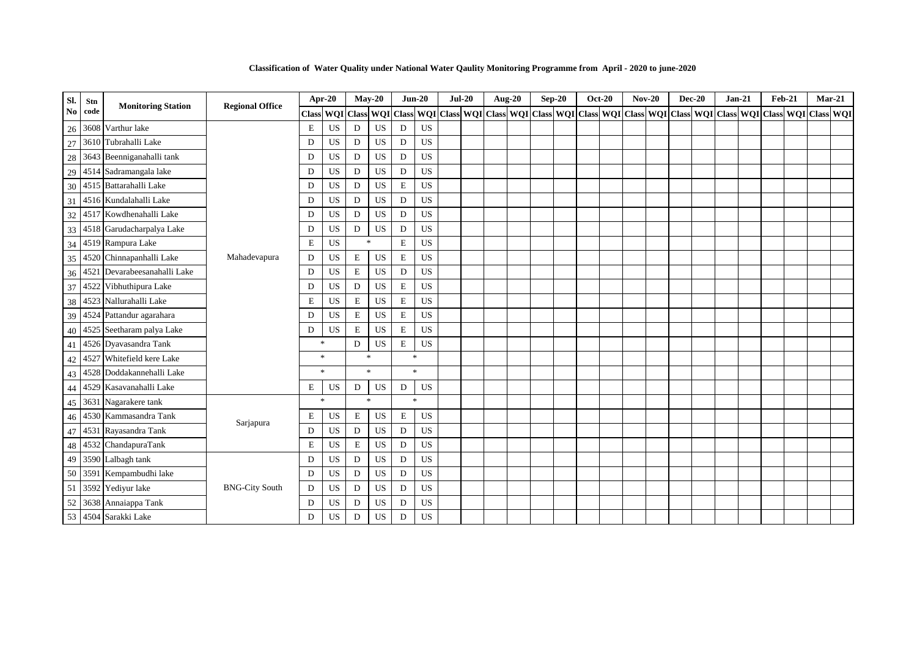| Sl. | Stn  | <b>Monitoring Station</b>       | <b>Regional Office</b> | Apr-20    |           |             | $May-20$         | $Jun-20$           |             | $Jul-20$ | <b>Aug-20</b> |  | $Sep-20$                                              | <b>Oct-20</b> | <b>Nov-20</b> | <b>Dec-20</b> | $Jan-21$ | $Feb-21$ | $Mar-21$                                              |  |
|-----|------|---------------------------------|------------------------|-----------|-----------|-------------|------------------|--------------------|-------------|----------|---------------|--|-------------------------------------------------------|---------------|---------------|---------------|----------|----------|-------------------------------------------------------|--|
| No  | code |                                 |                        | Class WQI |           |             | <b>Class WQI</b> | <b>Class</b>       |             |          |               |  | WQI Class WQI Class WQI Class WQI Class WQI Class WQI |               |               |               |          |          | Class   WQI   Class   WQI   Class   WQI   Class   WQI |  |
| 26  |      | 3608 Varthur lake               |                        | E         | <b>US</b> | D           | US               | D                  | <b>US</b>   |          |               |  |                                                       |               |               |               |          |          |                                                       |  |
| 27  |      | 3610 Tubrahalli Lake            |                        | D         | <b>US</b> | D           | <b>US</b>        | D                  | <b>US</b>   |          |               |  |                                                       |               |               |               |          |          |                                                       |  |
| 28  |      | 3643 Beenniganahalli tank       |                        | D         | <b>US</b> | D           | <b>US</b>        | D                  | <b>US</b>   |          |               |  |                                                       |               |               |               |          |          |                                                       |  |
| 29  |      | 4514 Sadramangala lake          |                        | D         | US        | D           | US               | D                  | US          |          |               |  |                                                       |               |               |               |          |          |                                                       |  |
| 30  |      | 4515 Battarahalli Lake          |                        | D         | <b>US</b> | D           | <b>US</b>        | E                  | <b>US</b>   |          |               |  |                                                       |               |               |               |          |          |                                                       |  |
| 31  |      | 4516 Kundalahalli Lake          |                        | D         | US        | D           | US               | D                  | US          |          |               |  |                                                       |               |               |               |          |          |                                                       |  |
| 32  |      | 4517 Kowdhenahalli Lake         |                        | D         | US        | D           | US               | D                  | <b>US</b>   |          |               |  |                                                       |               |               |               |          |          |                                                       |  |
| 33  |      | 4518 Garudacharpalya Lake       |                        | D         | US        | D           | US               | ${\rm D}$          | <b>US</b>   |          |               |  |                                                       |               |               |               |          |          |                                                       |  |
| 34  |      | 4519 Rampura Lake               |                        | E         | US        |             | $\ast$           | ${\bf E}$          | <b>US</b>   |          |               |  |                                                       |               |               |               |          |          |                                                       |  |
| 35  |      | 4520 Chinnapanhalli Lake        | Mahadevapura           | D         | <b>US</b> | $\mathbf E$ | US               | ${\bf E}$          | <b>US</b>   |          |               |  |                                                       |               |               |               |          |          |                                                       |  |
|     |      | 36 4521 Devarabeesanahalli Lake |                        | D         | <b>US</b> | $\mathbf E$ | <b>US</b>        | D                  | <b>US</b>   |          |               |  |                                                       |               |               |               |          |          |                                                       |  |
| 37  |      | 4522 Vibhuthipura Lake          |                        | D         | <b>US</b> | D           | <b>US</b>        | ${\bf E}$          | <b>US</b>   |          |               |  |                                                       |               |               |               |          |          |                                                       |  |
| 38  |      | 4523 Nallurahalli Lake          |                        | E         | <b>US</b> | E           | US               | E                  | US          |          |               |  |                                                       |               |               |               |          |          |                                                       |  |
| 39  |      | 4524 Pattandur agarahara        |                        | D         | <b>US</b> | $\mathbf E$ | <b>US</b>        | E                  | <b>US</b>   |          |               |  |                                                       |               |               |               |          |          |                                                       |  |
| 40  |      | 4525 Seetharam palya Lake       |                        | D         | <b>US</b> | E           | US               | E                  | US          |          |               |  |                                                       |               |               |               |          |          |                                                       |  |
|     |      | 41 4526 Dyavasandra Tank        |                        | $\ast$    |           | D           | US               | E                  | US          |          |               |  |                                                       |               |               |               |          |          |                                                       |  |
| 42  |      | 4527 Whitefield kere Lake       |                        |           | $\ast$    |             | $\ast$           | $\ast$             |             |          |               |  |                                                       |               |               |               |          |          |                                                       |  |
| 43  |      | 4528 Doddakannehalli Lake       |                        | $\ast$    |           |             | $\mathcal{R}$    | $\ast$             |             |          |               |  |                                                       |               |               |               |          |          |                                                       |  |
| 44  |      | 4529 Kasavanahalli Lake         |                        | E         | US        | D           | US               | D                  | US          |          |               |  |                                                       |               |               |               |          |          |                                                       |  |
|     |      | 45 3631 Nagarakere tank         |                        | $\ast$    |           |             | $\mathbf{g}_i$   | $\dot{\mathbf{x}}$ |             |          |               |  |                                                       |               |               |               |          |          |                                                       |  |
| 46  |      | 4530 Kammasandra Tank           |                        | E         | US        | E           | US               | $\mathbf E$        | US          |          |               |  |                                                       |               |               |               |          |          |                                                       |  |
| 47  |      | 4531 Rayasandra Tank            | Sarjapura              | D         | <b>US</b> | D           | <b>US</b>        | $\mathbf D$        | <b>US</b>   |          |               |  |                                                       |               |               |               |          |          |                                                       |  |
| 48  |      | 4532 ChandapuraTank             |                        | E         | <b>US</b> | E           | <b>US</b>        | D                  | <b>US</b>   |          |               |  |                                                       |               |               |               |          |          |                                                       |  |
| 49  |      | 3590 Lalbagh tank               |                        | D         | <b>US</b> | D           | <b>US</b>        | $\mathbf D$        | <b>US</b>   |          |               |  |                                                       |               |               |               |          |          |                                                       |  |
| 50  |      | 3591 Kempambudhi lake           |                        | D         | <b>US</b> | D           | US               | D                  | $_{\rm US}$ |          |               |  |                                                       |               |               |               |          |          |                                                       |  |
| 51  |      | 3592 Yediyur lake               | <b>BNG-City South</b>  | D         | <b>US</b> | D           | <b>US</b>        | $\mathbf D$        | <b>US</b>   |          |               |  |                                                       |               |               |               |          |          |                                                       |  |
| 52  |      | 3638 Annaiappa Tank             |                        | D         | <b>US</b> | D           | US               | D                  | $_{\rm US}$ |          |               |  |                                                       |               |               |               |          |          |                                                       |  |
|     |      | 53 4504 Sarakki Lake            |                        | D         | <b>US</b> | D           | US               | D                  | <b>US</b>   |          |               |  |                                                       |               |               |               |          |          |                                                       |  |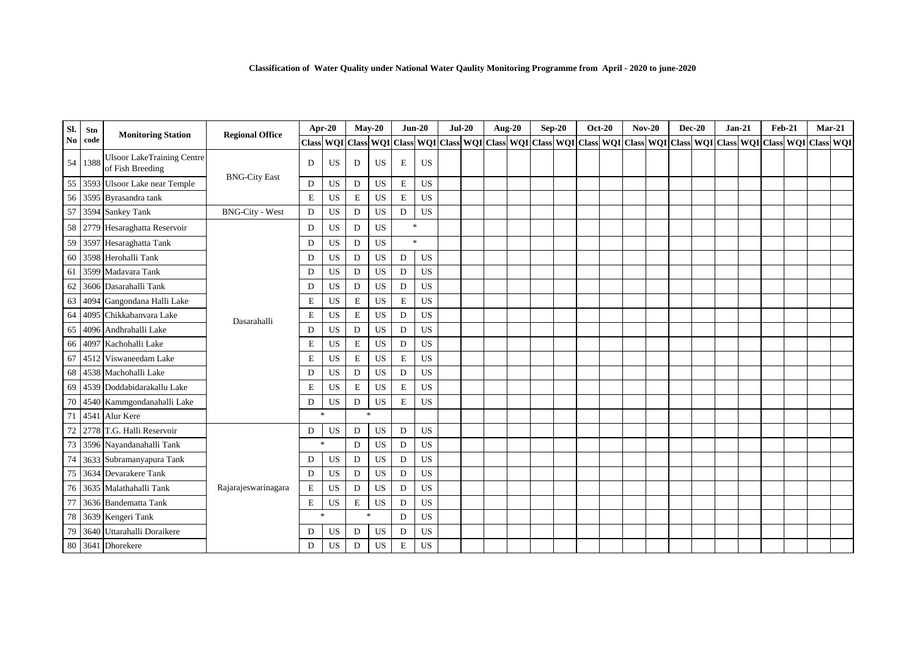| SI. | Stn     |                                                       | <b>Regional Office</b> |             | Apr-20                    |             | $May-20$  |                | $Jun-20$         | $Jul-20$ |  | <b>Aug-20</b>                                     | $Sep-20$ | <b>Oct-20</b> | $Nov-20$ | <b>Dec-20</b> | $Jan-21$ | <b>Feb-21</b> | $Mar-21$                          |  |
|-----|---------|-------------------------------------------------------|------------------------|-------------|---------------------------|-------------|-----------|----------------|------------------|----------|--|---------------------------------------------------|----------|---------------|----------|---------------|----------|---------------|-----------------------------------|--|
| No  | code    | <b>Monitoring Station</b>                             |                        |             | Class WQI Class WQI Class |             |           |                | <b>WQI</b> Class |          |  | WQI Class WQI Class WQI Class WQI Class WQI Class |          |               |          |               |          |               | WQI Class WQI Class WQI Class WQI |  |
|     | 54 1388 | <b>Ulsoor LakeTraining Centre</b><br>of Fish Breeding |                        | D           | US                        | D           | US        | E              | US               |          |  |                                                   |          |               |          |               |          |               |                                   |  |
| 55  |         | 3593 Ulsoor Lake near Temple                          | <b>BNG-City East</b>   | D           | <b>US</b>                 | D           | <b>US</b> | $\mathbf E$    | <b>US</b>        |          |  |                                                   |          |               |          |               |          |               |                                   |  |
| 56  |         | 3595 Byrasandra tank                                  |                        | $\mathbf E$ | US                        | $\mathbf E$ | <b>US</b> | $\mathbf E$    | US               |          |  |                                                   |          |               |          |               |          |               |                                   |  |
| 57  |         | 3594 Sankey Tank                                      | <b>BNG-City - West</b> | D           | <b>US</b>                 | D           | <b>US</b> | D              | <b>US</b>        |          |  |                                                   |          |               |          |               |          |               |                                   |  |
|     |         | 58 2779 Hesaraghatta Reservoir                        |                        | D           | US                        | D           | <b>US</b> | $\ast$         |                  |          |  |                                                   |          |               |          |               |          |               |                                   |  |
| 59  |         | 3597 Hesaraghatta Tank                                |                        | D           | <b>US</b>                 | D           | <b>US</b> | $\mathbf{g}_i$ |                  |          |  |                                                   |          |               |          |               |          |               |                                   |  |
| 60  |         | 3598 Herohalli Tank                                   |                        | D           | <b>US</b>                 | D           | <b>US</b> | D              | <b>US</b>        |          |  |                                                   |          |               |          |               |          |               |                                   |  |
| 61  |         | 3599 Madavara Tank                                    |                        | D           | <b>US</b>                 | D           | <b>US</b> | D              | <b>US</b>        |          |  |                                                   |          |               |          |               |          |               |                                   |  |
| 62  |         | 3606 Dasarahalli Tank                                 |                        | D           | US                        | D           | <b>US</b> | D              | <b>US</b>        |          |  |                                                   |          |               |          |               |          |               |                                   |  |
| 63  |         | 4094 Gangondana Halli Lake                            |                        | $\mathbf E$ | <b>US</b>                 | E           | <b>US</b> | E              | <b>US</b>        |          |  |                                                   |          |               |          |               |          |               |                                   |  |
| 64  |         | 4095 Chikkabanyara Lake                               | Dasarahalli            | $\mathbf E$ | US                        | $\bf E$     | <b>US</b> | D              | <b>US</b>        |          |  |                                                   |          |               |          |               |          |               |                                   |  |
| 65  |         | 4096 Andhrahalli Lake                                 |                        | D           | <b>US</b>                 | D           | <b>US</b> | D              | <b>US</b>        |          |  |                                                   |          |               |          |               |          |               |                                   |  |
| 66  | 4097    | Kachohalli Lake                                       |                        | $\mathbf E$ | US                        | $\bf E$     | <b>US</b> | D              | <b>US</b>        |          |  |                                                   |          |               |          |               |          |               |                                   |  |
| 67  |         | 4512 Viswaneedam Lake                                 |                        | $\mathbf E$ | <b>US</b>                 | $\mathbf E$ | <b>US</b> | E              | <b>US</b>        |          |  |                                                   |          |               |          |               |          |               |                                   |  |
| 68  |         | 4538 Machohalli Lake                                  |                        | D           | <b>US</b>                 | D           | <b>US</b> | D              | <b>US</b>        |          |  |                                                   |          |               |          |               |          |               |                                   |  |
| 69  |         | 4539 Doddabidarakallu Lake                            |                        | $\mathbf E$ | US                        | E           | US        | E              | US               |          |  |                                                   |          |               |          |               |          |               |                                   |  |
| 70  |         | 4540 Kammgondanahalli Lake                            |                        | D           | US                        | D           | <b>US</b> | $\mathbf E$    | <b>US</b>        |          |  |                                                   |          |               |          |               |          |               |                                   |  |
| 71  |         | 4541 Alur Kere                                        |                        | $\ast$      |                           | $\gg$       |           |                |                  |          |  |                                                   |          |               |          |               |          |               |                                   |  |
| 72  |         | 2778 T.G. Halli Reservoir                             |                        | D           | <b>US</b>                 | D           | <b>US</b> | D              | <b>US</b>        |          |  |                                                   |          |               |          |               |          |               |                                   |  |
| 73  |         | 3596 Nayandanahalli Tank                              |                        |             | $\ast$                    | D           | US        | D              | US               |          |  |                                                   |          |               |          |               |          |               |                                   |  |
| 74  |         | 3633 Subramanyapura Tank                              |                        | D           | <b>US</b>                 | D           | <b>US</b> | D              | <b>US</b>        |          |  |                                                   |          |               |          |               |          |               |                                   |  |
| 75  |         | 3634 Devarakere Tank                                  |                        | D           | <b>US</b>                 | D           | <b>US</b> | D              | <b>US</b>        |          |  |                                                   |          |               |          |               |          |               |                                   |  |
| 76  |         | 3635 Malathahalli Tank                                | Rajarajeswarinagara    | $\mathbf E$ | <b>US</b>                 | D           | <b>US</b> | D              | <b>US</b>        |          |  |                                                   |          |               |          |               |          |               |                                   |  |
|     |         | 3636 Bandematta Tank                                  |                        | E           | US                        | $\mathbf E$ | US        | D              | US               |          |  |                                                   |          |               |          |               |          |               |                                   |  |
| 78  |         | 3639 Kengeri Tank                                     |                        | $\ast$      |                           | $\ast$      |           | D              | <b>US</b>        |          |  |                                                   |          |               |          |               |          |               |                                   |  |
| 79  |         | 3640 Uttarahalli Doraikere                            |                        | D           | <b>US</b>                 | D           | <b>US</b> | D              | <b>US</b>        |          |  |                                                   |          |               |          |               |          |               |                                   |  |
|     |         | 80 3641 Dhorekere                                     |                        | D           | <b>US</b>                 | D           | <b>US</b> | $\mathbf E$    | <b>US</b>        |          |  |                                                   |          |               |          |               |          |               |                                   |  |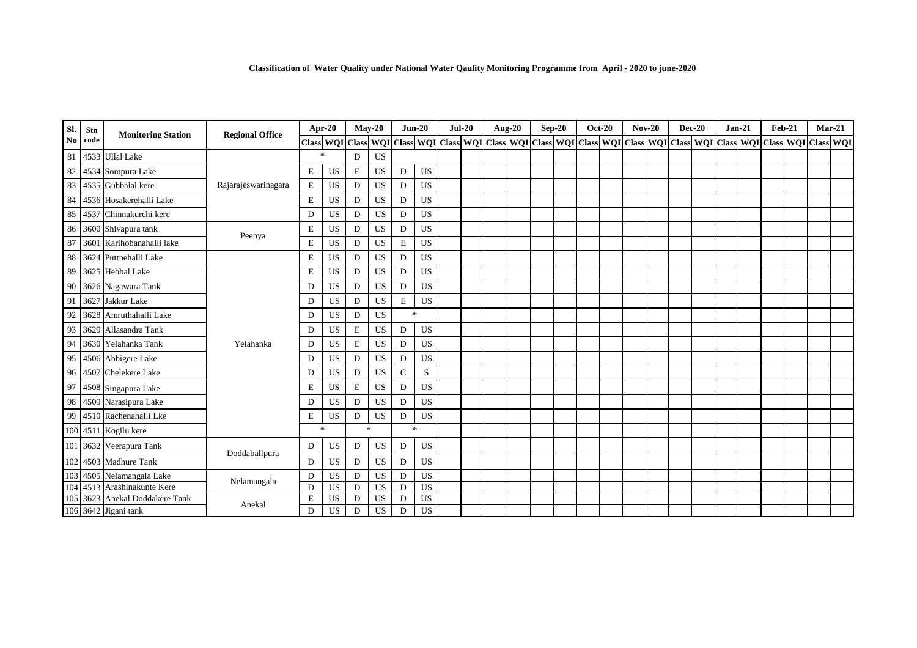| Sl.            | Stn  | <b>Monitoring Station</b>      | <b>Regional Office</b> |               | Apr-20        |   | $Mav-20$       |                | $Jun-20$  | $Jul-20$ | <b>Aug-20</b>                                                                                   |  | $Sep-20$ | <b>Oct-20</b> | $Nov-20$ | <b>Dec-20</b> | $Jan-21$ | <b>Feb-21</b> | $Mar-21$      |  |
|----------------|------|--------------------------------|------------------------|---------------|---------------|---|----------------|----------------|-----------|----------|-------------------------------------------------------------------------------------------------|--|----------|---------------|----------|---------------|----------|---------------|---------------|--|
| N <sub>0</sub> | code |                                |                        | <b>Class</b>  | WQI Class WQI |   |                |                |           |          | Class WQI Class WQI Class WQI Class WQI Class WQI Class WQI Class WQI Class WQI Class WQI Class |  |          |               |          |               |          |               | WQI Class WQI |  |
| 81             |      | 4533 Ullal Lake                |                        | $\mathcal{M}$ |               | D | <b>US</b>      |                |           |          |                                                                                                 |  |          |               |          |               |          |               |               |  |
| 82             |      | 4534 Sompura Lake              |                        | $\mathbf E$   | US            | E | US             | D              | <b>US</b> |          |                                                                                                 |  |          |               |          |               |          |               |               |  |
| 83             |      | 4535 Gubbalal kere             | Rajarajeswarinagara    | $\mathbf E$   | <b>US</b>     | D | <b>US</b>      | D              | <b>US</b> |          |                                                                                                 |  |          |               |          |               |          |               |               |  |
| 84             |      | 4536 Hosakerehalli Lake        |                        | $\mathbf E$   | US            | D | <b>US</b>      | D              | US        |          |                                                                                                 |  |          |               |          |               |          |               |               |  |
| 85             |      | 4537 Chinnakurchi kere         |                        | D             | <b>US</b>     | D | <b>US</b>      | $\mathbf D$    | <b>US</b> |          |                                                                                                 |  |          |               |          |               |          |               |               |  |
| 86             |      | 3600 Shivapura tank            |                        | $\mathbf E$   | <b>US</b>     | D | <b>US</b>      | D              | <b>US</b> |          |                                                                                                 |  |          |               |          |               |          |               |               |  |
| 87             |      | 3601 Karihobanahalli lake      | Peenya                 | $\mathbf E$   | US            | D | <b>US</b>      | $\mathbf E$    | <b>US</b> |          |                                                                                                 |  |          |               |          |               |          |               |               |  |
| 88             |      | 3624 Puttnehalli Lake          |                        | $\mathbf E$   | <b>US</b>     | D | <b>US</b>      | D              | <b>US</b> |          |                                                                                                 |  |          |               |          |               |          |               |               |  |
| 89             |      | 3625 Hebbal Lake               |                        | $\mathbf E$   | <b>US</b>     | D | US             | D              | US        |          |                                                                                                 |  |          |               |          |               |          |               |               |  |
| 90             |      | 3626 Nagawara Tank             |                        | D             | <b>US</b>     | D | <b>US</b>      | $\mathbf D$    | <b>US</b> |          |                                                                                                 |  |          |               |          |               |          |               |               |  |
| 91             |      | 3627 Jakkur Lake               |                        | D             | <b>US</b>     | D | US             | $\mathbf E$    | <b>US</b> |          |                                                                                                 |  |          |               |          |               |          |               |               |  |
| 92             |      | 3628 Amruthahalli Lake         |                        | D             | <b>US</b>     | D | US             | $\ast$         |           |          |                                                                                                 |  |          |               |          |               |          |               |               |  |
| 93             | 3629 | Allasandra Tank                |                        | D             | <b>US</b>     | E | <b>US</b>      | D              | <b>US</b> |          |                                                                                                 |  |          |               |          |               |          |               |               |  |
| 94             |      | 3630 Yelahanka Tank            | Yelahanka              | D             | <b>US</b>     | E | <b>US</b>      | D              | <b>US</b> |          |                                                                                                 |  |          |               |          |               |          |               |               |  |
| 95             |      | 4506 Abbigere Lake             |                        | D             | <b>US</b>     | D | <b>US</b>      | D              | <b>US</b> |          |                                                                                                 |  |          |               |          |               |          |               |               |  |
| 96             |      | 4507 Chelekere Lake            |                        | D             | <b>US</b>     | D | <b>US</b>      | $\mathbf C$    | S         |          |                                                                                                 |  |          |               |          |               |          |               |               |  |
| 97             |      | 4508 Singapura Lake            |                        | $\mathbf E$   | <b>US</b>     | E | <b>US</b>      | D              | <b>US</b> |          |                                                                                                 |  |          |               |          |               |          |               |               |  |
| 98             |      | 4509 Narasipura Lake           |                        | D             | <b>US</b>     | D | <b>US</b>      | D              | <b>US</b> |          |                                                                                                 |  |          |               |          |               |          |               |               |  |
| 99             |      | 4510 Rachenahalli Lke          |                        | $\mathbf E$   | <b>US</b>     | D | US             | D              | US        |          |                                                                                                 |  |          |               |          |               |          |               |               |  |
|                |      | 100 4511 Kogilu kere           |                        | $\ast$        |               |   | $\mathbf{g}_i$ | $\mathbf{g}_i$ |           |          |                                                                                                 |  |          |               |          |               |          |               |               |  |
|                |      | 101 3632 Veerapura Tank        |                        | D             | <b>US</b>     | D | US             | D              | US        |          |                                                                                                 |  |          |               |          |               |          |               |               |  |
|                |      | 102 4503 Madhure Tank          | Doddaballpura          | D             | <b>US</b>     | D | <b>US</b>      | D              | <b>US</b> |          |                                                                                                 |  |          |               |          |               |          |               |               |  |
|                |      | 103 4505 Nelamangala Lake      |                        | D             | <b>US</b>     | D | $_{\rm US}$    | D              | <b>US</b> |          |                                                                                                 |  |          |               |          |               |          |               |               |  |
|                |      | 104 4513 Arashinakunte Kere    | Nelamangala            | $\mathbf D$   | <b>US</b>     | D | <b>US</b>      | D              | <b>US</b> |          |                                                                                                 |  |          |               |          |               |          |               |               |  |
|                |      | 105 3623 Anekal Doddakere Tank | Anekal                 | E             | <b>US</b>     | D | <b>US</b>      | D              | <b>US</b> |          |                                                                                                 |  |          |               |          |               |          |               |               |  |
|                |      | 106 3642 Jigani tank           |                        | D             | <b>US</b>     | D | <b>US</b>      | D              | <b>US</b> |          |                                                                                                 |  |          |               |          |               |          |               |               |  |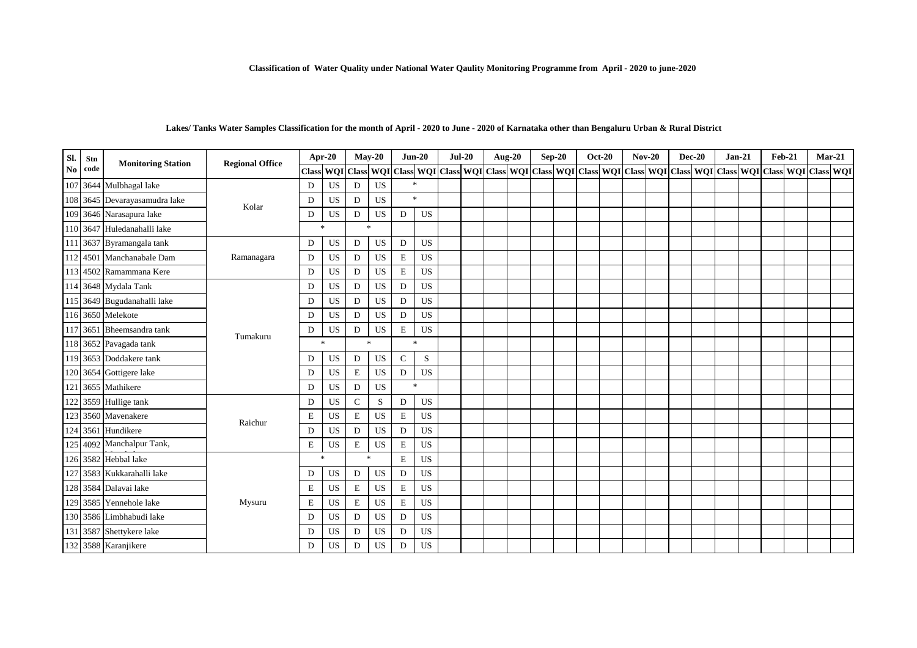#### **Lakes/ Tanks Water Samples Classification for the month of April - 2020 to June - 2020 of Karnataka other than Bengaluru Urban & Rural District**

| Sl.            | Stn  | <b>Monitoring Station</b>     | <b>Regional Office</b> | Apr-20       |           | $May-20$<br>Class WQI Class WQI |           |                    | $Jun-20$  | $Jul-20$ | <b>Aug-20</b>                                                                                                 |  | $Sep-20$ | <b>Oct-20</b> |  | $Nov-20$ | $Dec-20$ | $Jan-21$ | <b>Feb-21</b> | $Mar-21$ |  |
|----------------|------|-------------------------------|------------------------|--------------|-----------|---------------------------------|-----------|--------------------|-----------|----------|---------------------------------------------------------------------------------------------------------------|--|----------|---------------|--|----------|----------|----------|---------------|----------|--|
| N <sub>0</sub> | code |                               |                        |              |           |                                 |           |                    |           |          | Class WQI Class WQI Class WQI Class WQI Class WQI Class WQI Class WQI Class WQI Class WQI Class WQI Class WQI |  |          |               |  |          |          |          |               |          |  |
|                |      | 107 3644 Mulbhagal lake       |                        | D            | <b>US</b> | D                               | <b>US</b> | $\mathbf{g}_i$     |           |          |                                                                                                               |  |          |               |  |          |          |          |               |          |  |
|                |      | 108 3645 Devarayasamudra lake | Kolar                  | D            | US        | D                               | US        | $\dot{\mathbf{x}}$ |           |          |                                                                                                               |  |          |               |  |          |          |          |               |          |  |
|                |      | 109 3646 Narasapura lake      |                        | D            | <b>US</b> | D                               | <b>US</b> | D                  | US        |          |                                                                                                               |  |          |               |  |          |          |          |               |          |  |
|                |      | 110 3647 Huledanahalli lake   |                        | $*$          |           | $\mathcal{R}$                   |           |                    |           |          |                                                                                                               |  |          |               |  |          |          |          |               |          |  |
|                |      | 111 3637 Byramangala tank     |                        | D            | <b>US</b> | D                               | <b>US</b> | D                  | <b>US</b> |          |                                                                                                               |  |          |               |  |          |          |          |               |          |  |
|                |      | 112 4501 Manchanabale Dam     | Ramanagara             | D            | <b>US</b> | D                               | <b>US</b> | $\mathbf E$        | <b>US</b> |          |                                                                                                               |  |          |               |  |          |          |          |               |          |  |
|                |      | 113 4502 Ramammana Kere       |                        | $\mathbf D$  | <b>US</b> | D                               | US        | $\mathbf E$        | <b>US</b> |          |                                                                                                               |  |          |               |  |          |          |          |               |          |  |
|                |      | 114 3648 Mydala Tank          |                        | D            | US        | D                               | <b>US</b> | D                  | <b>US</b> |          |                                                                                                               |  |          |               |  |          |          |          |               |          |  |
|                |      | 115 3649 Bugudanahalli lake   |                        | D            | <b>US</b> | D                               | US        | D                  | <b>US</b> |          |                                                                                                               |  |          |               |  |          |          |          |               |          |  |
|                |      | 116 3650 Melekote             |                        | D            | <b>US</b> | D                               | <b>US</b> | D                  | <b>US</b> |          |                                                                                                               |  |          |               |  |          |          |          |               |          |  |
|                |      | 117 3651 Bheemsandra tank     |                        | D            | <b>US</b> | D                               | US        | $\mathbf E$        | <b>US</b> |          |                                                                                                               |  |          |               |  |          |          |          |               |          |  |
|                |      | 118 3652 Pavagada tank        | Tumakuru               | $\mathbf{k}$ |           |                                 | $\ast$    |                    | $\ast$    |          |                                                                                                               |  |          |               |  |          |          |          |               |          |  |
|                |      | 119 3653 Doddakere tank       |                        | D            | <b>US</b> | D                               | <b>US</b> | $\mathsf{C}$       | S         |          |                                                                                                               |  |          |               |  |          |          |          |               |          |  |
|                |      | 120 3654 Gottigere lake       |                        | D            | <b>US</b> | E                               | <b>US</b> | D                  | <b>US</b> |          |                                                                                                               |  |          |               |  |          |          |          |               |          |  |
|                |      | 121 3655 Mathikere            |                        | D            | <b>US</b> | D                               | <b>US</b> |                    | $\ast$    |          |                                                                                                               |  |          |               |  |          |          |          |               |          |  |
|                |      | 122 3559 Hullige tank         |                        | D            | <b>US</b> | $\mathcal{C}$                   | S         | D                  | US        |          |                                                                                                               |  |          |               |  |          |          |          |               |          |  |
|                |      | 123 3560 Mavenakere           |                        | $\mathbf E$  | <b>US</b> | $\bf E$                         | <b>US</b> | $\mathbf E$        | <b>US</b> |          |                                                                                                               |  |          |               |  |          |          |          |               |          |  |
|                |      | 124 3561 Hundikere            | Raichur                | D            | <b>US</b> | D                               | <b>US</b> | D                  | <b>US</b> |          |                                                                                                               |  |          |               |  |          |          |          |               |          |  |
|                |      | 125 4092 Manchalpur Tank,     |                        | $\mathbf E$  | US        | E                               | <b>US</b> | $\mathbf E$        | US        |          |                                                                                                               |  |          |               |  |          |          |          |               |          |  |
|                |      | 126 3582 Hebbal lake          |                        | $\ast$       |           | $\ast$                          |           | $\mathbf E$        | <b>US</b> |          |                                                                                                               |  |          |               |  |          |          |          |               |          |  |
|                |      | 127 3583 Kukkarahalli lake    |                        | D            | <b>US</b> | D                               | US        | D                  | US        |          |                                                                                                               |  |          |               |  |          |          |          |               |          |  |
|                |      | 128 3584 Dalavai lake         |                        | $\mathbf E$  | US        | E                               | <b>US</b> | $\mathbf E$        | US        |          |                                                                                                               |  |          |               |  |          |          |          |               |          |  |
|                |      | 129 3585 Yennehole lake       | Mysuru                 | $\mathbf E$  | US        | E                               | <b>US</b> | $\mathbf E$        | <b>US</b> |          |                                                                                                               |  |          |               |  |          |          |          |               |          |  |
|                |      | 130 3586 Limbhabudi lake      |                        | D            | US        | D                               | US        | D                  | US        |          |                                                                                                               |  |          |               |  |          |          |          |               |          |  |
|                |      | 131 3587 Shettykere lake      |                        | D            | <b>US</b> | D                               | <b>US</b> | D                  | <b>US</b> |          |                                                                                                               |  |          |               |  |          |          |          |               |          |  |
|                |      | 132 3588 Karanjikere          |                        | D            | US        | D                               | US.       | D                  | <b>US</b> |          |                                                                                                               |  |          |               |  |          |          |          |               |          |  |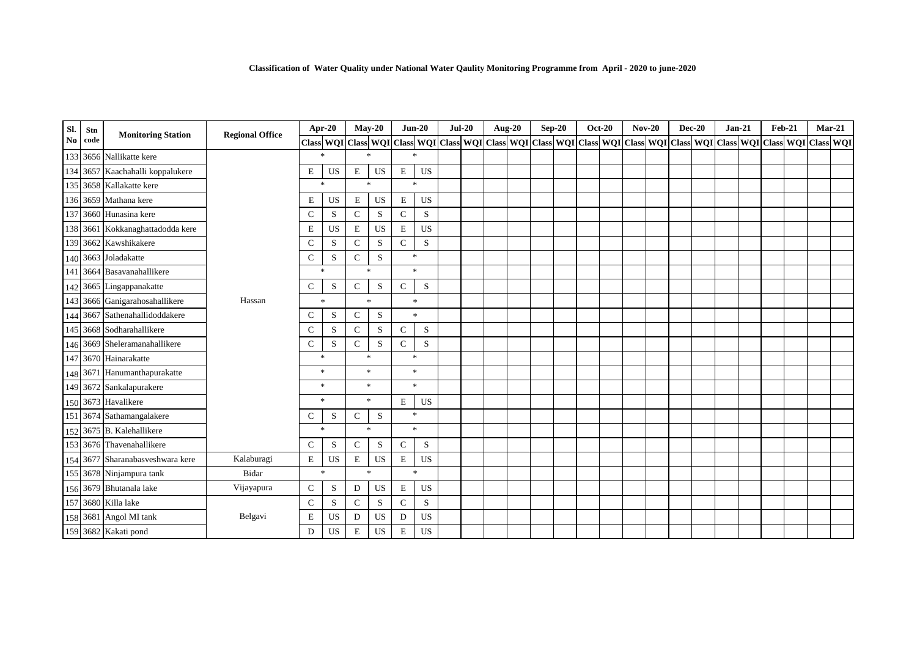| Sl.                    | Stn  | <b>Monitoring Station</b>        | <b>Regional Office</b> |              | Apr-20      |               | $May-20$      |              | $Jun-20$                          | $Jul-20$ | Aug-20 | $Sep-20$ | <b>Oct-20</b> |  | <b>Nov-20</b>                                                                                                                                                                                                                | <b>Dec-20</b> | $Jan-21$ | $Feb-21$ | $Mar-21$ |  |
|------------------------|------|----------------------------------|------------------------|--------------|-------------|---------------|---------------|--------------|-----------------------------------|----------|--------|----------|---------------|--|------------------------------------------------------------------------------------------------------------------------------------------------------------------------------------------------------------------------------|---------------|----------|----------|----------|--|
| $\mathbf{N}\mathbf{0}$ | code |                                  |                        |              |             |               |               |              |                                   |          |        |          |               |  | Class   WQI   Class   WQI   Class   WQI   Class   WQI   Class   WQI   Class   WQI   Class   WQI   Class   WQI   Class   WQI   Class   WQI   Class   WQI   Class   WQI   Class   WQI   Class   WQI   Class   WQI   Class   WQ |               |          |          |          |  |
| 133                    |      | 3656 Nallikatte kere             |                        |              | $\ast$      |               | $\mathcal{R}$ |              | $\frac{1}{26}$                    |          |        |          |               |  |                                                                                                                                                                                                                              |               |          |          |          |  |
| 134                    |      | 3657 Kaachahalli koppalukere     |                        | E            | US          | $\mathbf E$   | <b>US</b>     | $\mathbf E$  | US                                |          |        |          |               |  |                                                                                                                                                                                                                              |               |          |          |          |  |
|                        |      | 135 3658 Kallakatte kere         |                        |              | $\ast$      | $\frac{1}{2}$ |               |              | $\frac{d\mathbf{r}}{dt}$          |          |        |          |               |  |                                                                                                                                                                                                                              |               |          |          |          |  |
|                        |      | 136 3659 Mathana kere            |                        | E            | US          | E             | US            | E            | US                                |          |        |          |               |  |                                                                                                                                                                                                                              |               |          |          |          |  |
|                        |      | 137 3660 Hunasina kere           |                        | $\mathsf{C}$ | S           | $\mathbf C$   | ${\bf S}$     | ${\bf C}$    | S                                 |          |        |          |               |  |                                                                                                                                                                                                                              |               |          |          |          |  |
|                        |      | 138 3661 Kokkanaghattadodda kere |                        | E            | <b>US</b>   | $\mathbf E$   | <b>US</b>     | Е            | <b>US</b>                         |          |        |          |               |  |                                                                                                                                                                                                                              |               |          |          |          |  |
| 139                    |      | 3662 Kawshikakere                |                        | C            | S           | $\mathcal{C}$ | S             | $\mathsf{C}$ | S                                 |          |        |          |               |  |                                                                                                                                                                                                                              |               |          |          |          |  |
|                        |      | 140 3663 Joladakatte             |                        | $\mathsf{C}$ | $\mathbf S$ | $\mathsf{C}$  | S             |              | $\frac{1}{2}$                     |          |        |          |               |  |                                                                                                                                                                                                                              |               |          |          |          |  |
| 141                    |      | 3664 Basavanahallikere           |                        |              | $\ast$      | 宋             |               |              | $\mathbf{R}$                      |          |        |          |               |  |                                                                                                                                                                                                                              |               |          |          |          |  |
|                        |      | 142 3665 Lingappanakatte         |                        | C            | S           | $\mathsf{C}$  | S             | $\mathsf{C}$ | S                                 |          |        |          |               |  |                                                                                                                                                                                                                              |               |          |          |          |  |
|                        |      | 143 3666 Ganigarahosahallikere   | Hassan                 |              | $\ast$      |               | $\ast$        |              | $\ast$                            |          |        |          |               |  |                                                                                                                                                                                                                              |               |          |          |          |  |
| 144                    |      | 3667 Sathenahallidoddakere       |                        | C            | S           | $\mathsf{C}$  | S             |              | $\ast$                            |          |        |          |               |  |                                                                                                                                                                                                                              |               |          |          |          |  |
|                        |      | 145 3668 Sodharahallikere        |                        | $\mathsf{C}$ | S           | $\mathsf{C}$  | S             | $\mathbf C$  | S                                 |          |        |          |               |  |                                                                                                                                                                                                                              |               |          |          |          |  |
|                        |      | 146 3669 Sheleramanahallikere    |                        | C            | S           | $\mathcal{C}$ | S             | $\mathsf{C}$ | S                                 |          |        |          |               |  |                                                                                                                                                                                                                              |               |          |          |          |  |
|                        |      | 147 3670 Hainarakatte            |                        |              | $\ast$      |               | $\ast$        |              | $\ast$                            |          |        |          |               |  |                                                                                                                                                                                                                              |               |          |          |          |  |
|                        |      | 148 3671 Hanumanthapurakatte     |                        |              | $\ast$      |               | *             |              | $\frac{1}{26}$                    |          |        |          |               |  |                                                                                                                                                                                                                              |               |          |          |          |  |
|                        |      | 149 3672 Sankalapurakere         |                        |              | $\ast$      |               | $\ast$        |              | $\ast$                            |          |        |          |               |  |                                                                                                                                                                                                                              |               |          |          |          |  |
|                        |      | 150 3673 Havalikere              |                        |              | $\ast$      |               | $\ast$        | E            | US                                |          |        |          |               |  |                                                                                                                                                                                                                              |               |          |          |          |  |
|                        |      | 151 3674 Sathamangalakere        |                        | C            | S           | $\mathcal{C}$ | S             |              | $\frac{d\mathbf{x}}{d\mathbf{x}}$ |          |        |          |               |  |                                                                                                                                                                                                                              |               |          |          |          |  |
|                        |      | 152 3675 B. Kalehallikere        |                        |              | $\ast$      | $\ast$        |               |              | $\frac{d\mathbf{x}}{d\mathbf{x}}$ |          |        |          |               |  |                                                                                                                                                                                                                              |               |          |          |          |  |
|                        |      | 153 3676 Thavenahallikere        |                        | $\mathsf{C}$ | S           | $\mathcal{C}$ | S             | $\mathsf{C}$ | S                                 |          |        |          |               |  |                                                                                                                                                                                                                              |               |          |          |          |  |
|                        |      | 154 3677 Sharanabasveshwara kere | Kalaburagi             | E            | <b>US</b>   | Ε             | US            | E            | US                                |          |        |          |               |  |                                                                                                                                                                                                                              |               |          |          |          |  |
|                        |      | 155 3678 Ninjampura tank         | Bidar                  |              | $\ast$      |               | $\ast$        |              | $\ast$                            |          |        |          |               |  |                                                                                                                                                                                                                              |               |          |          |          |  |
|                        |      | 156 3679 Bhutanala lake          | Vijayapura             | $\mathsf{C}$ | S           | D             | <b>US</b>     | E            | US                                |          |        |          |               |  |                                                                                                                                                                                                                              |               |          |          |          |  |
|                        |      | 157 3680 Killa lake              |                        | $\mathsf{C}$ | S           | $\mathsf{C}$  | S             | $\mathsf{C}$ | S                                 |          |        |          |               |  |                                                                                                                                                                                                                              |               |          |          |          |  |
| 158                    |      | 3681 Angol MI tank               | Belgavi                | E            | <b>US</b>   | D             | US            | D            | $_{\rm US}$                       |          |        |          |               |  |                                                                                                                                                                                                                              |               |          |          |          |  |
|                        |      | 159 3682 Kakati pond             |                        | D            | <b>US</b>   | $\mathbf E$   | US            | E            | <b>US</b>                         |          |        |          |               |  |                                                                                                                                                                                                                              |               |          |          |          |  |